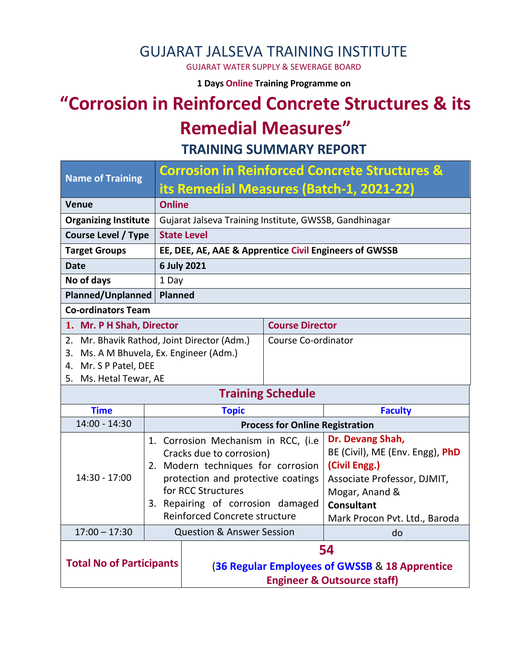### GUJARAT JALSEVA TRAINING INSTITUTE

GUJARAT WATER SUPPLY & SEWERAGE BOARD

**1 Days Online Training Programme on** 

# **"Corrosion in Reinforced Concrete Structures & its Remedial Measures"**

**TRAINING SUMMARY REPORT**

| <b>Name of Training</b>                     |                          | <b>Corrosion in Reinforced Concrete Structures &amp;</b> |                        |                                 |  |  |  |
|---------------------------------------------|--------------------------|----------------------------------------------------------|------------------------|---------------------------------|--|--|--|
|                                             |                          | its Remedial Measures (Batch-1, 2021-22)                 |                        |                                 |  |  |  |
| <b>Venue</b>                                |                          | <b>Online</b>                                            |                        |                                 |  |  |  |
| <b>Organizing Institute</b>                 |                          | Gujarat Jalseva Training Institute, GWSSB, Gandhinagar   |                        |                                 |  |  |  |
| <b>Course Level / Type</b>                  |                          | <b>State Level</b>                                       |                        |                                 |  |  |  |
| <b>Target Groups</b>                        |                          | EE, DEE, AE, AAE & Apprentice Civil Engineers of GWSSB   |                        |                                 |  |  |  |
| <b>Date</b>                                 |                          | 6 July 2021                                              |                        |                                 |  |  |  |
| No of days                                  |                          | 1 Day                                                    |                        |                                 |  |  |  |
| <b>Planned/Unplanned</b>                    |                          | <b>Planned</b>                                           |                        |                                 |  |  |  |
| <b>Co-ordinators Team</b>                   |                          |                                                          |                        |                                 |  |  |  |
| 1. Mr. P H Shah, Director                   |                          |                                                          | <b>Course Director</b> |                                 |  |  |  |
| 2. Mr. Bhavik Rathod, Joint Director (Adm.) |                          |                                                          | Course Co-ordinator    |                                 |  |  |  |
| 3. Ms. A M Bhuvela, Ex. Engineer (Adm.)     |                          |                                                          |                        |                                 |  |  |  |
| 4. Mr. S P Patel, DEE                       |                          |                                                          |                        |                                 |  |  |  |
| 5. Ms. Hetal Tewar, AE                      |                          |                                                          |                        |                                 |  |  |  |
|                                             | <b>Training Schedule</b> |                                                          |                        |                                 |  |  |  |
| <b>Time</b>                                 |                          | <b>Topic</b>                                             | <b>Faculty</b>         |                                 |  |  |  |
| $14:00 - 14:30$                             |                          | <b>Process for Online Registration</b>                   |                        |                                 |  |  |  |
|                                             |                          | 1. Corrosion Mechanism in RCC, (i.e                      |                        | Dr. Devang Shah,                |  |  |  |
|                                             |                          | Cracks due to corrosion)                                 |                        | BE (Civil), ME (Env. Engg), PhD |  |  |  |
|                                             |                          | 2. Modern techniques for corrosion                       |                        | (Civil Engg.)                   |  |  |  |
| $14:30 - 17:00$                             |                          | protection and protective coatings<br>for RCC Structures |                        | Associate Professor, DJMIT,     |  |  |  |
|                                             |                          | 3. Repairing of corrosion damaged                        |                        | Mogar, Anand &                  |  |  |  |
|                                             |                          | Reinforced Concrete structure                            |                        | <b>Consultant</b>               |  |  |  |
|                                             |                          |                                                          |                        | Mark Procon Pvt. Ltd., Baroda   |  |  |  |
| $17:00 - 17:30$                             |                          | <b>Question &amp; Answer Session</b>                     |                        | do                              |  |  |  |
| <b>Total No of Participants</b>             |                          | 54                                                       |                        |                                 |  |  |  |
|                                             |                          | (36 Regular Employees of GWSSB & 18 Apprentice           |                        |                                 |  |  |  |
|                                             |                          | <b>Engineer &amp; Outsource staff)</b>                   |                        |                                 |  |  |  |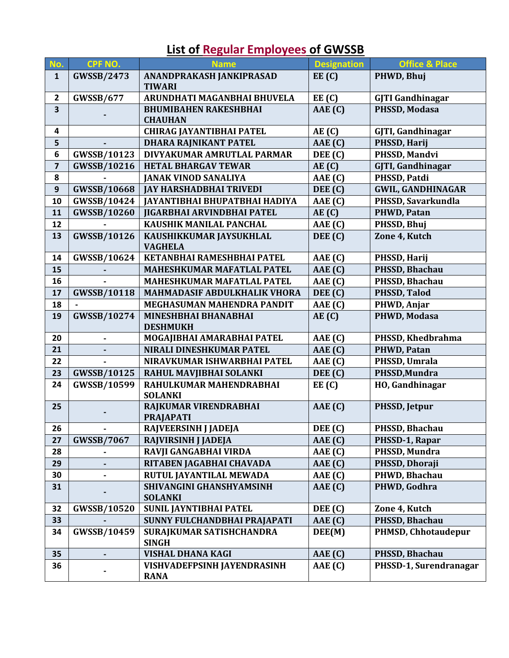| No.                     | CPF NO.            | <b>Name</b>                                               | <b>Designation</b> | <b>Office &amp; Place</b> |
|-------------------------|--------------------|-----------------------------------------------------------|--------------------|---------------------------|
| $\mathbf{1}$            | <b>GWSSB/2473</b>  | ANANDPRAKASH JANKIPRASAD<br>EE(C)<br><b>TIWARI</b>        |                    | PHWD, Bhuj                |
| $\overline{2}$          | <b>GWSSB/677</b>   | ARUNDHATI MAGANBHAI BHUVELA                               | EE(C)              | <b>GJTI Gandhinagar</b>   |
| $\overline{\mathbf{3}}$ |                    | AAE (C)<br><b>BHUMIBAHEN RAKESHBHAI</b><br><b>CHAUHAN</b> |                    | PHSSD, Modasa             |
| 4                       |                    | <b>CHIRAG JAYANTIBHAI PATEL</b>                           | AE(C)              | GJTI, Gandhinagar         |
| 5                       |                    | DHARA RAJNIKANT PATEL                                     | AAE (C)            | PHSSD, Harij              |
| $6\phantom{1}$          | GWSSB/10123        | DIVYAKUMAR AMRUTLAL PARMAR                                | DEE (C)            | PHSSD, Mandvi             |
| 7                       | <b>GWSSB/10216</b> | <b>HETAL BHARGAV TEWAR</b>                                | AE(C)              | GJTI, Gandhinagar         |
| 8                       |                    | <b>JANAK VINOD SANALIYA</b>                               | AAE (C)            | PHSSD, Patdi              |
| $\mathbf{9}$            | <b>GWSSB/10668</b> | <b>JAY HARSHADBHAI TRIVEDI</b><br>DEE (C)                 |                    | <b>GWIL, GANDHINAGAR</b>  |
| 10                      | GWSSB/10424        | <b>JAYANTIBHAI BHUPATBHAI HADIYA</b>                      | AAE (C)            | PHSSD, Savarkundla        |
| 11                      | <b>GWSSB/10260</b> | <b>JIGARBHAI ARVINDBHAI PATEL</b>                         | AE(C)              | PHWD, Patan               |
| 12                      |                    | KAUSHIK MANILAL PANCHAL<br>AAE (C)                        |                    | PHSSD, Bhuj               |
| 13                      | GWSSB/10126        | KAUSHIKKUMAR JAYSUKHLAL<br><b>VAGHELA</b>                 | DEE (C)            | Zone 4, Kutch             |
| 14                      | <b>GWSSB/10624</b> | KETANBHAI RAMESHBHAI PATEL                                | AAE (C)            | PHSSD, Harij              |
| 15                      |                    | <b>MAHESHKUMAR MAFATLAL PATEL</b>                         | AAE (C)            | PHSSD, Bhachau            |
| 16                      |                    | MAHESHKUMAR MAFATLAL PATEL                                | AAE (C)            | PHSSD, Bhachau            |
| 17                      | <b>GWSSB/10118</b> | MAHMADASIF ABDULKHALIK VHORA                              | DEE (C)            | PHSSD, Talod              |
| 18                      |                    | MEGHASUMAN MAHENDRA PANDIT                                | AAE (C)            | PHWD, Anjar               |
| 19                      | GWSSB/10274        | <b>MINESHBHAI BHANABHAI</b><br><b>DESHMUKH</b>            | AE(C)              | PHWD, Modasa              |
| 20                      | $\blacksquare$     | MOGAJIBHAI AMARABHAI PATEL                                | AAE (C)            | PHSSD, Khedbrahma         |
| 21                      |                    | NIRALI DINESHKUMAR PATEL                                  | AAE (C)            | PHWD, Patan               |
| 22                      |                    | NIRAVKUMAR ISHWARBHAI PATEL                               | AAE (C)            | PHSSD, Umrala             |
| 23                      | <b>GWSSB/10125</b> | RAHUL MAVJIBHAI SOLANKI                                   | DEE (C)            | PHSSD, Mundra             |
| 24                      | GWSSB/10599        | RAHULKUMAR MAHENDRABHAI<br><b>SOLANKI</b>                 | EE(C)              | HO, Gandhinagar           |
| 25                      |                    | RAJKUMAR VIRENDRABHAI<br><b>PRAJAPATI</b>                 | AAE(G)             | PHSSD, Jetpur             |
| 26                      |                    | RAJVEERSINH J JADEJA                                      | DEE (C)            | PHSSD, Bhachau            |
| 27                      | <b>GWSSB/7067</b>  | RAJVIRSINH J JADEJA                                       | AAE (C)            | PHSSD-1, Rapar            |
| 28                      | ۰                  | RAVJI GANGABHAI VIRDA                                     | AAE (C)            | PHSSD, Mundra             |
| 29                      |                    | RITABEN JAGABHAI CHAVADA                                  | AAE(G)             | PHSSD, Dhoraji            |
| 30                      |                    | RUTUL JAYANTILAL MEWADA                                   | AAE (C)            | PHWD, Bhachau             |
| 31                      |                    | SHIVANGINI GHANSHYAMSINH<br><b>SOLANKI</b>                | AAE (C)            | PHWD, Godhra              |
| 32                      | <b>GWSSB/10520</b> | <b>SUNIL JAYNTIBHAI PATEL</b>                             | DEE (C)            | Zone 4, Kutch             |
| 33                      |                    | SUNNY FULCHANDBHAI PRAJAPATI                              | AAE (C)            | PHSSD, Bhachau            |
| 34                      | GWSSB/10459        | SURAJKUMAR SATISHCHANDRA<br><b>SINGH</b>                  | DEE(M)             | PHMSD, Chhotaudepur       |
| 35                      |                    | VISHAL DHANA KAGI                                         | AAE (C)            | PHSSD, Bhachau            |
| 36                      |                    | <b>VISHVADEFPSINH JAYENDRASINH</b><br><b>RANA</b>         | AAE (C)            | PHSSD-1, Surendranagar    |

## **List of Regular Employees of GWSSB**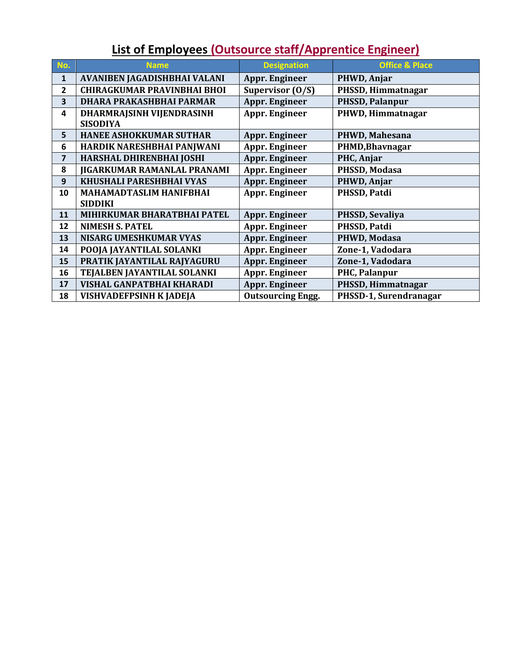## **List of Employees (Outsource staff/Apprentice Engineer)**

| No.                     | <b>Name</b>                        | <b>Designation</b>       | <b>Office &amp; Place</b> |
|-------------------------|------------------------------------|--------------------------|---------------------------|
| 1                       | AVANIBEN JAGADISHBHAI VALANI       | Appr. Engineer           | PHWD, Anjar               |
| $\overline{2}$          | <b>CHIRAGKUMAR PRAVINBHAI BHOI</b> | Supervisor (O/S)         | PHSSD, Himmatnagar        |
| $\overline{\mathbf{3}}$ | DHARA PRAKASHBHAI PARMAR           | Appr. Engineer           | PHSSD, Palanpur           |
| $\overline{a}$          | DHARMRAJSINH VIJENDRASINH          | Appr. Engineer           | PHWD, Himmatnagar         |
|                         | <b>SISODIYA</b>                    |                          |                           |
| 5                       | <b>HANEE ASHOKKUMAR SUTHAR</b>     | Appr. Engineer           | PHWD, Mahesana            |
| 6                       | HARDIK NARESHBHAI PANJWANI         | Appr. Engineer           | PHMD, Bhavnagar           |
| $\overline{7}$          | HARSHAL DHIRENBHAI JOSHI           | <b>Appr. Engineer</b>    | PHC, Anjar                |
| 8                       | JIGARKUMAR RAMANLAL PRANAMI        | Appr. Engineer           | PHSSD, Modasa             |
| 9                       | <b>KHUSHALI PARESHBHAI VYAS</b>    | Appr. Engineer           | PHWD, Anjar               |
| 10                      | <b>MAHAMADTASLIM HANIFBHAI</b>     | Appr. Engineer           | PHSSD, Patdi              |
|                         | <b>SIDDIKI</b>                     |                          |                           |
| 11                      | MIHIRKUMAR BHARATBHAI PATEL        | Appr. Engineer           | PHSSD, Sevaliya           |
| 12                      | <b>NIMESH S. PATEL</b>             | Appr. Engineer           | PHSSD, Patdi              |
| 13                      | <b>NISARG UMESHKUMAR VYAS</b>      | Appr. Engineer           | PHWD, Modasa              |
| 14                      | POOJA JAYANTILAL SOLANKI           | Appr. Engineer           | Zone-1, Vadodara          |
| 15                      | PRATIK JAYANTILAL RAJYAGURU        | Appr. Engineer           | Zone-1, Vadodara          |
| 16                      | TEJALBEN JAYANTILAL SOLANKI        | Appr. Engineer           | PHC, Palanpur             |
| 17                      | <b>VISHAL GANPATBHAI KHARADI</b>   | Appr. Engineer           | PHSSD, Himmatnagar        |
| 18                      | <b>VISHVADEFPSINH K JADEJA</b>     | <b>Outsourcing Engg.</b> | PHSSD-1, Surendranagar    |